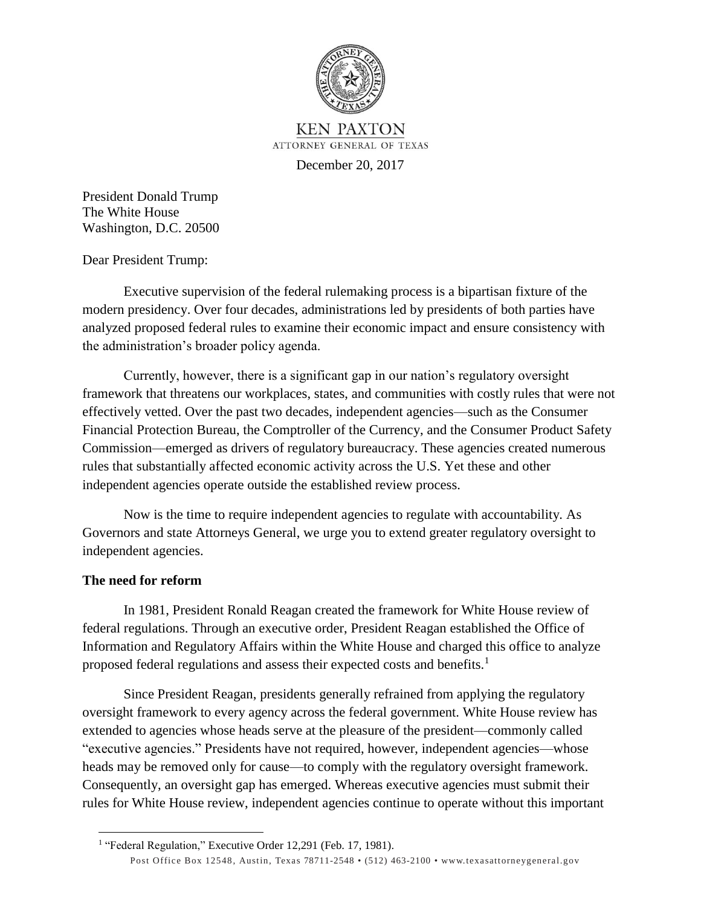

**KEN PAXTON** ATTORNEY GENERAL OF TEXAS

December 20, 2017

President Donald Trump The White House Washington, D.C. 20500

Dear President Trump:

Executive supervision of the federal rulemaking process is a bipartisan fixture of the modern presidency. Over four decades, administrations led by presidents of both parties have analyzed proposed federal rules to examine their economic impact and ensure consistency with the administration's broader policy agenda.

Currently, however, there is a significant gap in our nation's regulatory oversight framework that threatens our workplaces, states, and communities with costly rules that were not effectively vetted. Over the past two decades, independent agencies—such as the Consumer Financial Protection Bureau, the Comptroller of the Currency, and the Consumer Product Safety Commission—emerged as drivers of regulatory bureaucracy. These agencies created numerous rules that substantially affected economic activity across the U.S. Yet these and other independent agencies operate outside the established review process.

Now is the time to require independent agencies to regulate with accountability. As Governors and state Attorneys General, we urge you to extend greater regulatory oversight to independent agencies.

## **The need for reform**

 $\ddot{\phantom{a}}$ 

In 1981, President Ronald Reagan created the framework for White House review of federal regulations. Through an executive order, President Reagan established the Office of Information and Regulatory Affairs within the White House and charged this office to analyze proposed federal regulations and assess their expected costs and benefits.<sup>1</sup>

Since President Reagan, presidents generally refrained from applying the regulatory oversight framework to every agency across the federal government. White House review has extended to agencies whose heads serve at the pleasure of the president—commonly called "executive agencies." Presidents have not required, however, independent agencies—whose heads may be removed only for cause—to comply with the regulatory oversight framework. Consequently, an oversight gap has emerged. Whereas executive agencies must submit their rules for White House review, independent agencies continue to operate without this important

Post Office Box 12548, Austin, Texas 78711-2548 • (512) 463-2100 • [www.texasattorneygeneral.gov](http://www.texasattorneygeneral.gov/) <sup>1</sup> "Federal Regulation," Executive Order 12,291 (Feb. 17, 1981).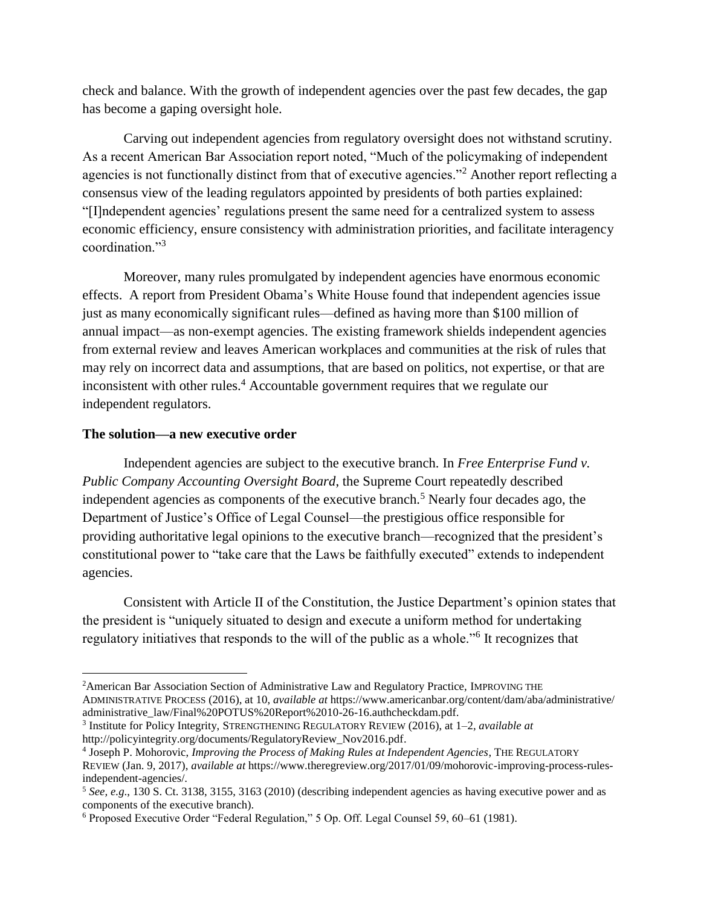check and balance. With the growth of independent agencies over the past few decades, the gap has become a gaping oversight hole.

Carving out independent agencies from regulatory oversight does not withstand scrutiny. As a recent American Bar Association report noted, "Much of the policymaking of independent agencies is not functionally distinct from that of executive agencies."<sup>2</sup> Another report reflecting a consensus view of the leading regulators appointed by presidents of both parties explained: "[I]ndependent agencies' regulations present the same need for a centralized system to assess economic efficiency, ensure consistency with administration priorities, and facilitate interagency coordination."<sup>3</sup>

Moreover, many rules promulgated by independent agencies have enormous economic effects. A report from President Obama's White House found that independent agencies issue just as many economically significant rules—defined as having more than \$100 million of annual impact—as non-exempt agencies. The existing framework shields independent agencies from external review and leaves American workplaces and communities at the risk of rules that may rely on incorrect data and assumptions, that are based on politics, not expertise, or that are inconsistent with other rules.<sup>4</sup> Accountable government requires that we regulate our independent regulators.

## **The solution—a new executive order**

 $\overline{\phantom{a}}$ 

Independent agencies are subject to the executive branch. In *Free Enterprise Fund v. Public Company Accounting Oversight Board*, the Supreme Court repeatedly described independent agencies as components of the executive branch.<sup>5</sup> Nearly four decades ago, the Department of Justice's Office of Legal Counsel—the prestigious office responsible for providing authoritative legal opinions to the executive branch—recognized that the president's constitutional power to "take care that the Laws be faithfully executed" extends to independent agencies.

Consistent with Article II of the Constitution, the Justice Department's opinion states that the president is "uniquely situated to design and execute a uniform method for undertaking regulatory initiatives that responds to the will of the public as a whole."<sup>6</sup> It recognizes that

<sup>&</sup>lt;sup>2</sup>American Bar Association Section of Administrative Law and Regulatory Practice, IMPROVING THE ADMINISTRATIVE PROCESS (2016), at 10, *available at* https://www.americanbar.org/content/dam/aba/administrative/ administrative\_law/Final%20POTUS%20Report%2010-26-16.authcheckdam.pdf.

<sup>3</sup> Institute for Policy Integrity, STRENGTHENING REGULATORY REVIEW (2016), at 1–2, *available at* http://policyintegrity.org/documents/RegulatoryReview\_Nov2016.pdf.

<sup>4</sup> Joseph P. Mohorovic, *Improving the Process of Making Rules at Independent Agencies*, THE REGULATORY REVIEW (Jan. 9, 2017), *available at* https://www.theregreview.org/2017/01/09/mohorovic-improving-process-rulesindependent-agencies/.

<sup>5</sup> *See, e.g*., 130 S. Ct. 3138, 3155, 3163 (2010) (describing independent agencies as having executive power and as components of the executive branch).

<sup>6</sup> Proposed Executive Order "Federal Regulation," 5 Op. Off. Legal Counsel 59, 60–61 (1981).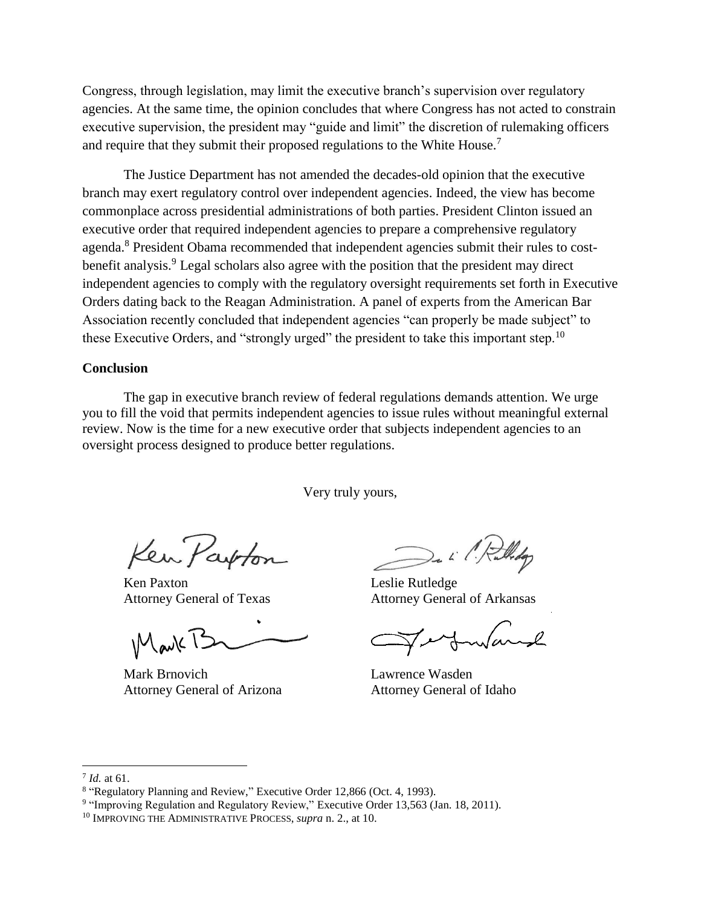Congress, through legislation, may limit the executive branch's supervision over regulatory agencies. At the same time, the opinion concludes that where Congress has not acted to constrain executive supervision, the president may "guide and limit" the discretion of rulemaking officers and require that they submit their proposed regulations to the White House.<sup>7</sup>

The Justice Department has not amended the decades-old opinion that the executive branch may exert regulatory control over independent agencies. Indeed, the view has become commonplace across presidential administrations of both parties. President Clinton issued an executive order that required independent agencies to prepare a comprehensive regulatory agenda.<sup>8</sup> President Obama recommended that independent agencies submit their rules to costbenefit analysis.<sup>9</sup> Legal scholars also agree with the position that the president may direct independent agencies to comply with the regulatory oversight requirements set forth in Executive Orders dating back to the Reagan Administration. A panel of experts from the American Bar Association recently concluded that independent agencies "can properly be made subject" to these Executive Orders, and "strongly urged" the president to take this important step.<sup>10</sup>

## **Conclusion**

The gap in executive branch review of federal regulations demands attention. We urge you to fill the void that permits independent agencies to issue rules without meaningful external review. Now is the time for a new executive order that subjects independent agencies to an oversight process designed to produce better regulations.

Very truly yours,

Ken Parton

Ken Paxton Leslie Rutledge

 $M$ avk $12$ 

Mark Brnovich Lawrence Wasden Attorney General of Arizona Attorney General of Idaho

 $\mathcal{L}$ 

Attorney General of Texas Attorney General of Arkansas

 $\overline{\phantom{a}}$ 

<sup>7</sup> *Id.* at 61.

<sup>&</sup>lt;sup>8</sup> "Regulatory Planning and Review," Executive Order 12,866 (Oct. 4, 1993).

<sup>&</sup>lt;sup>9</sup> "Improving Regulation and Regulatory Review," Executive Order 13,563 (Jan. 18, 2011).

<sup>10</sup> IMPROVING THE ADMINISTRATIVE PROCESS, *supra* n. 2., at 10.